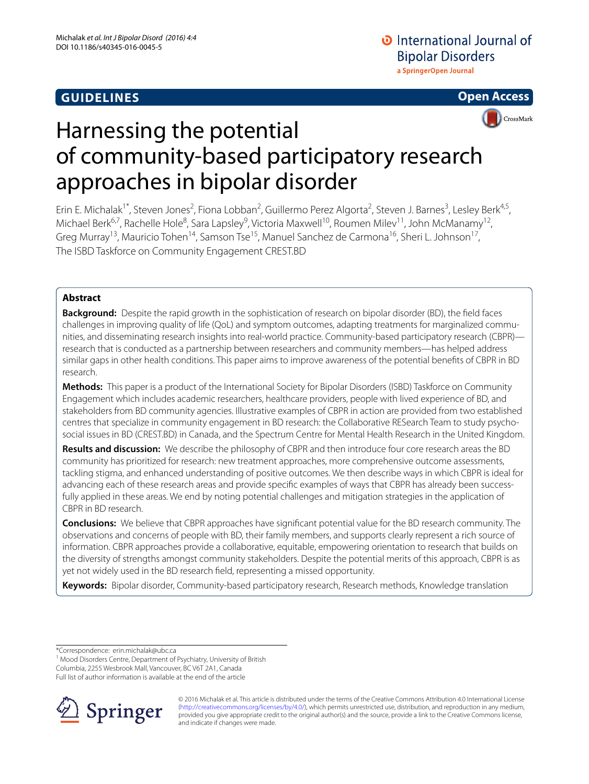# **GUIDELINES**



# Harnessing the potential of community-based participatory research approaches in bipolar disorder

Erin E. Michalak<sup>1\*</sup>, Steven Jones<sup>2</sup>, Fiona Lobban<sup>2</sup>, Guillermo Perez Algorta<sup>2</sup>, Steven J. Barnes<sup>3</sup>, Lesley Berk<sup>45</sup>, Michael Berk<sup>6,7</sup>, Rachelle Hole<sup>8</sup>, Sara Lapsley<sup>9</sup>, Victoria Maxwell<sup>10</sup>, Roumen Milev<sup>11</sup>, John McManamy<sup>12</sup>, Greg Murray<sup>13</sup>, Mauricio Tohen<sup>14</sup>, Samson Tse<sup>15</sup>, Manuel Sanchez de Carmona<sup>16</sup>, Sheri L. Johnson<sup>17</sup>, The ISBD Taskforce on Community Engagement CREST.BD

# **Abstract**

**Background:** Despite the rapid growth in the sophistication of research on bipolar disorder (BD), the field faces challenges in improving quality of life (QoL) and symptom outcomes, adapting treatments for marginalized communities, and disseminating research insights into real-world practice. Community-based participatory research (CBPR) research that is conducted as a partnership between researchers and community members—has helped address similar gaps in other health conditions. This paper aims to improve awareness of the potential benefits of CBPR in BD research.

**Methods:** This paper is a product of the International Society for Bipolar Disorders (ISBD) Taskforce on Community Engagement which includes academic researchers, healthcare providers, people with lived experience of BD, and stakeholders from BD community agencies. Illustrative examples of CBPR in action are provided from two established centres that specialize in community engagement in BD research: the Collaborative RESearch Team to study psychosocial issues in BD (CREST.BD) in Canada, and the Spectrum Centre for Mental Health Research in the United Kingdom.

**Results and discussion:** We describe the philosophy of CBPR and then introduce four core research areas the BD community has prioritized for research: new treatment approaches, more comprehensive outcome assessments, tackling stigma, and enhanced understanding of positive outcomes. We then describe ways in which CBPR is ideal for advancing each of these research areas and provide specific examples of ways that CBPR has already been successfully applied in these areas. We end by noting potential challenges and mitigation strategies in the application of CBPR in BD research.

**Conclusions:** We believe that CBPR approaches have significant potential value for the BD research community. The observations and concerns of people with BD, their family members, and supports clearly represent a rich source of information. CBPR approaches provide a collaborative, equitable, empowering orientation to research that builds on the diversity of strengths amongst community stakeholders. Despite the potential merits of this approach, CBPR is as yet not widely used in the BD research field, representing a missed opportunity.

**Keywords:** Bipolar disorder, Community-based participatory research, Research methods, Knowledge translation

\*Correspondence: erin.michalak@ubc.ca

<sup>1</sup> Mood Disorders Centre, Department of Psychiatry, University of British Columbia, 2255 Wesbrook Mall, Vancouver, BC V6T 2A1, Canada

Full list of author information is available at the end of the article



© 2016 Michalak et al. This article is distributed under the terms of the Creative Commons Attribution 4.0 International License [\(http://creativecommons.org/licenses/by/4.0/\)](http://creativecommons.org/licenses/by/4.0/), which permits unrestricted use, distribution, and reproduction in any medium, provided you give appropriate credit to the original author(s) and the source, provide a link to the Creative Commons license, and indicate if changes were made.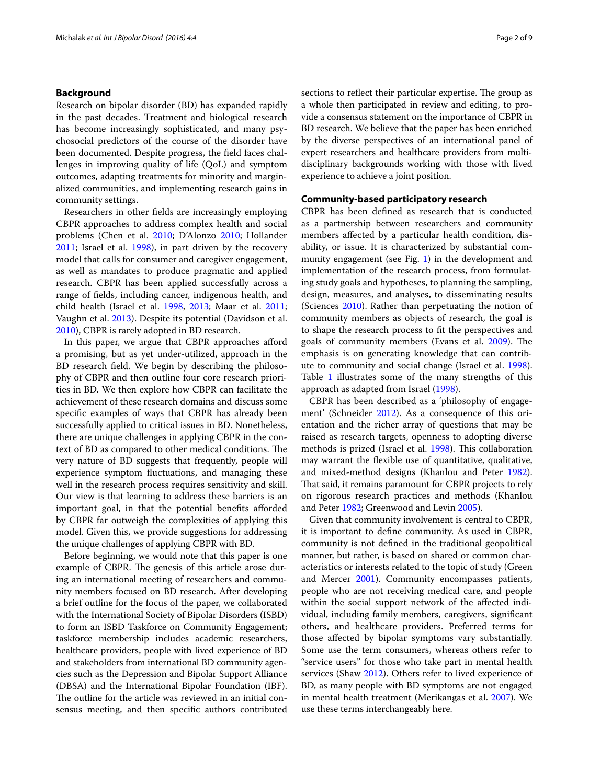## **Background**

Research on bipolar disorder (BD) has expanded rapidly in the past decades. Treatment and biological research has become increasingly sophisticated, and many psychosocial predictors of the course of the disorder have been documented. Despite progress, the field faces challenges in improving quality of life (QoL) and symptom outcomes, adapting treatments for minority and marginalized communities, and implementing research gains in community settings.

Researchers in other fields are increasingly employing CBPR approaches to address complex health and social problems (Chen et al. [2010](#page-7-0); D'Alonzo [2010;](#page-7-1) Hollander [2011](#page-8-0); Israel et al. [1998\)](#page-8-1), in part driven by the recovery model that calls for consumer and caregiver engagement, as well as mandates to produce pragmatic and applied research. CBPR has been applied successfully across a range of fields, including cancer, indigenous health, and child health (Israel et al. [1998](#page-8-1), [2013](#page-8-2); Maar et al. [2011](#page-8-3); Vaughn et al. [2013\)](#page-8-4). Despite its potential (Davidson et al. [2010](#page-7-2)), CBPR is rarely adopted in BD research.

In this paper, we argue that CBPR approaches afford a promising, but as yet under-utilized, approach in the BD research field. We begin by describing the philosophy of CBPR and then outline four core research priorities in BD. We then explore how CBPR can facilitate the achievement of these research domains and discuss some specific examples of ways that CBPR has already been successfully applied to critical issues in BD. Nonetheless, there are unique challenges in applying CBPR in the context of BD as compared to other medical conditions. The very nature of BD suggests that frequently, people will experience symptom fluctuations, and managing these well in the research process requires sensitivity and skill. Our view is that learning to address these barriers is an important goal, in that the potential benefits afforded by CBPR far outweigh the complexities of applying this model. Given this, we provide suggestions for addressing the unique challenges of applying CBPR with BD.

Before beginning, we would note that this paper is one example of CBPR. The genesis of this article arose during an international meeting of researchers and community members focused on BD research. After developing a brief outline for the focus of the paper, we collaborated with the International Society of Bipolar Disorders (ISBD) to form an ISBD Taskforce on Community Engagement; taskforce membership includes academic researchers, healthcare providers, people with lived experience of BD and stakeholders from international BD community agencies such as the Depression and Bipolar Support Alliance (DBSA) and the International Bipolar Foundation (IBF). The outline for the article was reviewed in an initial consensus meeting, and then specific authors contributed

sections to reflect their particular expertise. The group as a whole then participated in review and editing, to provide a consensus statement on the importance of CBPR in BD research. We believe that the paper has been enriched by the diverse perspectives of an international panel of expert researchers and healthcare providers from multidisciplinary backgrounds working with those with lived experience to achieve a joint position.

## **Community‑based participatory research**

CBPR has been defined as research that is conducted as a partnership between researchers and community members affected by a particular health condition, disability, or issue. It is characterized by substantial community engagement (see Fig. [1\)](#page-2-0) in the development and implementation of the research process, from formulating study goals and hypotheses, to planning the sampling, design, measures, and analyses, to disseminating results (Sciences [2010\)](#page-8-5). Rather than perpetuating the notion of community members as objects of research, the goal is to shape the research process to fit the perspectives and goals of community members (Evans et al. [2009](#page-7-3)). The emphasis is on generating knowledge that can contribute to community and social change (Israel et al. [1998](#page-8-1)). Table [1](#page-2-1) illustrates some of the many strengths of this approach as adapted from Israel ([1998](#page-8-1)).

CBPR has been described as a 'philosophy of engagement' (Schneider [2012\)](#page-8-6). As a consequence of this orientation and the richer array of questions that may be raised as research targets, openness to adopting diverse methods is prized (Israel et al. [1998](#page-8-1)). This collaboration may warrant the flexible use of quantitative, qualitative, and mixed-method designs (Khanlou and Peter [1982](#page-8-7)). That said, it remains paramount for CBPR projects to rely on rigorous research practices and methods (Khanlou and Peter [1982](#page-8-7); Greenwood and Levin [2005\)](#page-8-8).

Given that community involvement is central to CBPR, it is important to define community. As used in CBPR, community is not defined in the traditional geopolitical manner, but rather, is based on shared or common characteristics or interests related to the topic of study (Green and Mercer [2001\)](#page-7-4). Community encompasses patients, people who are not receiving medical care, and people within the social support network of the affected individual, including family members, caregivers, significant others, and healthcare providers. Preferred terms for those affected by bipolar symptoms vary substantially. Some use the term consumers, whereas others refer to "service users" for those who take part in mental health services (Shaw [2012\)](#page-8-9). Others refer to lived experience of BD, as many people with BD symptoms are not engaged in mental health treatment (Merikangas et al. [2007](#page-8-10)). We use these terms interchangeably here.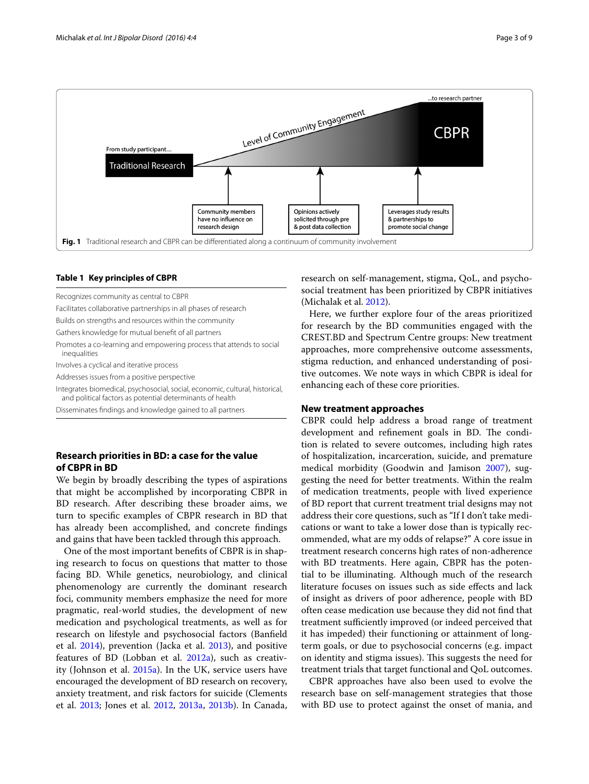

#### <span id="page-2-1"></span><span id="page-2-0"></span>**Table 1 Key principles of CBPR**

Recognizes community as central to CBPR

Facilitates collaborative partnerships in all phases of research

Builds on strengths and resources within the community

Gathers knowledge for mutual benefit of all partners

Promotes a co-learning and empowering process that attends to social inequalities

Involves a cyclical and iterative process

Addresses issues from a positive perspective

Integrates biomedical, psychosocial, social, economic, cultural, historical, and political factors as potential determinants of health

Disseminates findings and knowledge gained to all partners

# **Research priorities in BD: a case for the value of CBPR in BD**

We begin by broadly describing the types of aspirations that might be accomplished by incorporating CBPR in BD research. After describing these broader aims, we turn to specific examples of CBPR research in BD that has already been accomplished, and concrete findings and gains that have been tackled through this approach.

One of the most important benefits of CBPR is in shaping research to focus on questions that matter to those facing BD. While genetics, neurobiology, and clinical phenomenology are currently the dominant research foci, community members emphasize the need for more pragmatic, real-world studies, the development of new medication and psychological treatments, as well as for research on lifestyle and psychosocial factors (Banfield et al. [2014\)](#page-7-5), prevention (Jacka et al. [2013\)](#page-8-11), and positive features of BD (Lobban et al.  $2012a$ ), such as creativity (Johnson et al. [2015a\)](#page-8-13). In the UK, service users have encouraged the development of BD research on recovery, anxiety treatment, and risk factors for suicide (Clements et al. [2013](#page-7-6); Jones et al. [2012](#page-8-14), [2013a](#page-8-15), [2013b\)](#page-8-16). In Canada, research on self-management, stigma, QoL, and psychosocial treatment has been prioritized by CBPR initiatives (Michalak et al. [2012\)](#page-8-17).

Here, we further explore four of the areas prioritized for research by the BD communities engaged with the CREST.BD and Spectrum Centre groups: New treatment approaches, more comprehensive outcome assessments, stigma reduction, and enhanced understanding of positive outcomes. We note ways in which CBPR is ideal for enhancing each of these core priorities.

#### **New treatment approaches**

CBPR could help address a broad range of treatment development and refinement goals in BD. The condition is related to severe outcomes, including high rates of hospitalization, incarceration, suicide, and premature medical morbidity (Goodwin and Jamison [2007\)](#page-7-7), suggesting the need for better treatments. Within the realm of medication treatments, people with lived experience of BD report that current treatment trial designs may not address their core questions, such as "If I don't take medications or want to take a lower dose than is typically recommended, what are my odds of relapse?" A core issue in treatment research concerns high rates of non-adherence with BD treatments. Here again, CBPR has the potential to be illuminating. Although much of the research literature focuses on issues such as side effects and lack of insight as drivers of poor adherence, people with BD often cease medication use because they did not find that treatment sufficiently improved (or indeed perceived that it has impeded) their functioning or attainment of longterm goals, or due to psychosocial concerns (e.g. impact on identity and stigma issues). This suggests the need for treatment trials that target functional and QoL outcomes.

CBPR approaches have also been used to evolve the research base on self-management strategies that those with BD use to protect against the onset of mania, and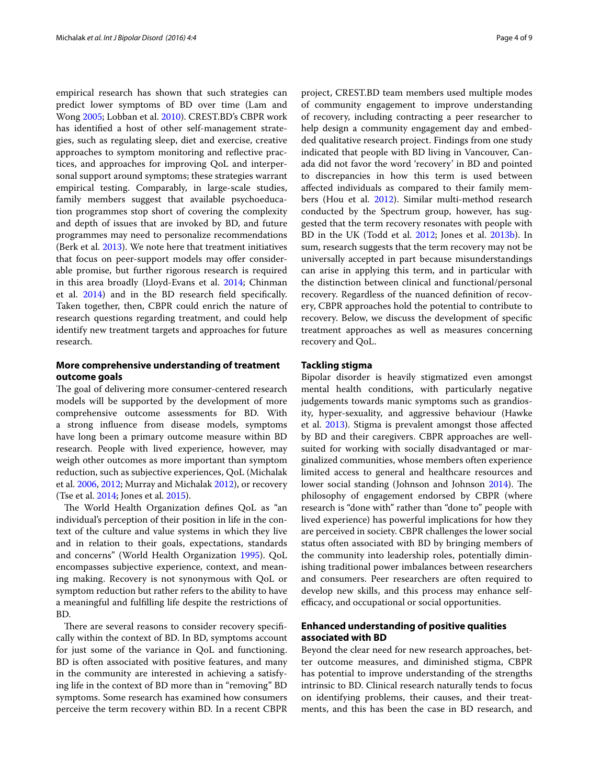empirical research has shown that such strategies can predict lower symptoms of BD over time (Lam and Wong [2005](#page-8-18); Lobban et al. [2010\)](#page-8-19). CREST.BD's CBPR work has identified a host of other self-management strategies, such as regulating sleep, diet and exercise, creative approaches to symptom monitoring and reflective practices, and approaches for improving QoL and interpersonal support around symptoms; these strategies warrant empirical testing. Comparably, in large-scale studies, family members suggest that available psychoeducation programmes stop short of covering the complexity and depth of issues that are invoked by BD, and future programmes may need to personalize recommendations (Berk et al. [2013](#page-7-8)). We note here that treatment initiatives that focus on peer-support models may offer considerable promise, but further rigorous research is required in this area broadly (Lloyd-Evans et al. [2014;](#page-8-20) Chinman et al. [2014\)](#page-7-9) and in the BD research field specifically. Taken together, then, CBPR could enrich the nature of research questions regarding treatment, and could help identify new treatment targets and approaches for future research.

# **More comprehensive understanding of treatment outcome goals**

The goal of delivering more consumer-centered research models will be supported by the development of more comprehensive outcome assessments for BD. With a strong influence from disease models, symptoms have long been a primary outcome measure within BD research. People with lived experience, however, may weigh other outcomes as more important than symptom reduction, such as subjective experiences, QoL (Michalak et al. [2006,](#page-8-21) [2012;](#page-8-17) Murray and Michalak [2012](#page-8-22)), or recovery (Tse et al. [2014;](#page-8-23) Jones et al. [2015\)](#page-8-24).

The World Health Organization defines QoL as "an individual's perception of their position in life in the context of the culture and value systems in which they live and in relation to their goals, expectations, standards and concerns" (World Health Organization [1995\)](#page-8-25). QoL encompasses subjective experience, context, and meaning making. Recovery is not synonymous with QoL or symptom reduction but rather refers to the ability to have a meaningful and fulfilling life despite the restrictions of BD.

There are several reasons to consider recovery specifically within the context of BD. In BD, symptoms account for just some of the variance in QoL and functioning. BD is often associated with positive features, and many in the community are interested in achieving a satisfying life in the context of BD more than in "removing" BD symptoms. Some research has examined how consumers perceive the term recovery within BD. In a recent CBPR

project, CREST.BD team members used multiple modes of community engagement to improve understanding of recovery, including contracting a peer researcher to help design a community engagement day and embedded qualitative research project. Findings from one study indicated that people with BD living in Vancouver, Canada did not favor the word 'recovery' in BD and pointed to discrepancies in how this term is used between affected individuals as compared to their family members (Hou et al. [2012](#page-8-26)). Similar multi-method research conducted by the Spectrum group, however, has suggested that the term recovery resonates with people with BD in the UK (Todd et al. [2012](#page-8-27); Jones et al. [2013b\)](#page-8-16). In sum, research suggests that the term recovery may not be universally accepted in part because misunderstandings can arise in applying this term, and in particular with the distinction between clinical and functional/personal recovery. Regardless of the nuanced definition of recovery, CBPR approaches hold the potential to contribute to recovery. Below, we discuss the development of specific treatment approaches as well as measures concerning recovery and QoL.

# **Tackling stigma**

Bipolar disorder is heavily stigmatized even amongst mental health conditions, with particularly negative judgements towards manic symptoms such as grandiosity, hyper-sexuality, and aggressive behaviour (Hawke et al. [2013\)](#page-8-28). Stigma is prevalent amongst those affected by BD and their caregivers. CBPR approaches are wellsuited for working with socially disadvantaged or marginalized communities, whose members often experience limited access to general and healthcare resources and lower social standing (Johnson and Johnson [2014](#page-8-29)). The philosophy of engagement endorsed by CBPR (where research is "done with" rather than "done to" people with lived experience) has powerful implications for how they are perceived in society. CBPR challenges the lower social status often associated with BD by bringing members of the community into leadership roles, potentially diminishing traditional power imbalances between researchers and consumers. Peer researchers are often required to develop new skills, and this process may enhance selfefficacy, and occupational or social opportunities.

# **Enhanced understanding of positive qualities associated with BD**

Beyond the clear need for new research approaches, better outcome measures, and diminished stigma, CBPR has potential to improve understanding of the strengths intrinsic to BD. Clinical research naturally tends to focus on identifying problems, their causes, and their treatments, and this has been the case in BD research, and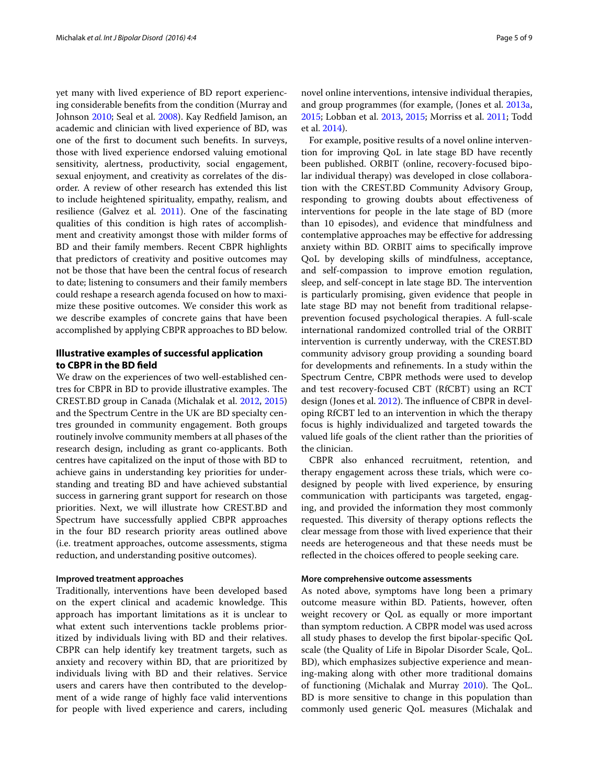yet many with lived experience of BD report experiencing considerable benefits from the condition (Murray and Johnson [2010;](#page-8-30) Seal et al. [2008\)](#page-8-31). Kay Redfield Jamison, an academic and clinician with lived experience of BD, was one of the first to document such benefits. In surveys, those with lived experience endorsed valuing emotional sensitivity, alertness, productivity, social engagement, sexual enjoyment, and creativity as correlates of the disorder. A review of other research has extended this list to include heightened spirituality, empathy, realism, and resilience (Galvez et al. [2011](#page-7-10)). One of the fascinating qualities of this condition is high rates of accomplishment and creativity amongst those with milder forms of BD and their family members. Recent CBPR highlights that predictors of creativity and positive outcomes may not be those that have been the central focus of research to date; listening to consumers and their family members could reshape a research agenda focused on how to maximize these positive outcomes. We consider this work as we describe examples of concrete gains that have been accomplished by applying CBPR approaches to BD below.

# **Illustrative examples of successful application to CBPR in the BD field**

We draw on the experiences of two well-established centres for CBPR in BD to provide illustrative examples. The CREST.BD group in Canada (Michalak et al. [2012,](#page-8-17) [2015](#page-8-32)) and the Spectrum Centre in the UK are BD specialty centres grounded in community engagement. Both groups routinely involve community members at all phases of the research design, including as grant co-applicants. Both centres have capitalized on the input of those with BD to achieve gains in understanding key priorities for understanding and treating BD and have achieved substantial success in garnering grant support for research on those priorities. Next, we will illustrate how CREST.BD and Spectrum have successfully applied CBPR approaches in the four BD research priority areas outlined above (i.e. treatment approaches, outcome assessments, stigma reduction, and understanding positive outcomes).

#### **Improved treatment approaches**

Traditionally, interventions have been developed based on the expert clinical and academic knowledge. This approach has important limitations as it is unclear to what extent such interventions tackle problems prioritized by individuals living with BD and their relatives. CBPR can help identify key treatment targets, such as anxiety and recovery within BD, that are prioritized by individuals living with BD and their relatives. Service users and carers have then contributed to the development of a wide range of highly face valid interventions for people with lived experience and carers, including

novel online interventions, intensive individual therapies, and group programmes (for example, (Jones et al. [2013a](#page-8-15), [2015](#page-8-24); Lobban et al. [2013](#page-8-33), [2015](#page-8-34); Morriss et al. [2011](#page-8-35); Todd et al. [2014](#page-8-36)).

For example, positive results of a novel online intervention for improving QoL in late stage BD have recently been published. ORBIT (online, recovery-focused bipolar individual therapy) was developed in close collaboration with the CREST.BD Community Advisory Group, responding to growing doubts about effectiveness of interventions for people in the late stage of BD (more than 10 episodes), and evidence that mindfulness and contemplative approaches may be effective for addressing anxiety within BD. ORBIT aims to specifically improve QoL by developing skills of mindfulness, acceptance, and self-compassion to improve emotion regulation, sleep, and self-concept in late stage BD. The intervention is particularly promising, given evidence that people in late stage BD may not benefit from traditional relapseprevention focused psychological therapies. A full-scale international randomized controlled trial of the ORBIT intervention is currently underway, with the CREST.BD community advisory group providing a sounding board for developments and refinements. In a study within the Spectrum Centre, CBPR methods were used to develop and test recovery-focused CBT (RfCBT) using an RCT design (Jones et al. [2012](#page-8-14)). The influence of CBPR in developing RfCBT led to an intervention in which the therapy focus is highly individualized and targeted towards the valued life goals of the client rather than the priorities of the clinician.

CBPR also enhanced recruitment, retention, and therapy engagement across these trials, which were codesigned by people with lived experience, by ensuring communication with participants was targeted, engaging, and provided the information they most commonly requested. This diversity of therapy options reflects the clear message from those with lived experience that their needs are heterogeneous and that these needs must be reflected in the choices offered to people seeking care.

#### **More comprehensive outcome assessments**

As noted above, symptoms have long been a primary outcome measure within BD. Patients, however, often weight recovery or QoL as equally or more important than symptom reduction. A CBPR model was used across all study phases to develop the first bipolar-specific QoL scale (the Quality of Life in Bipolar Disorder Scale, QoL. BD), which emphasizes subjective experience and meaning-making along with other more traditional domains of functioning (Michalak and Murray [2010](#page-8-37)). The QoL. BD is more sensitive to change in this population than commonly used generic QoL measures (Michalak and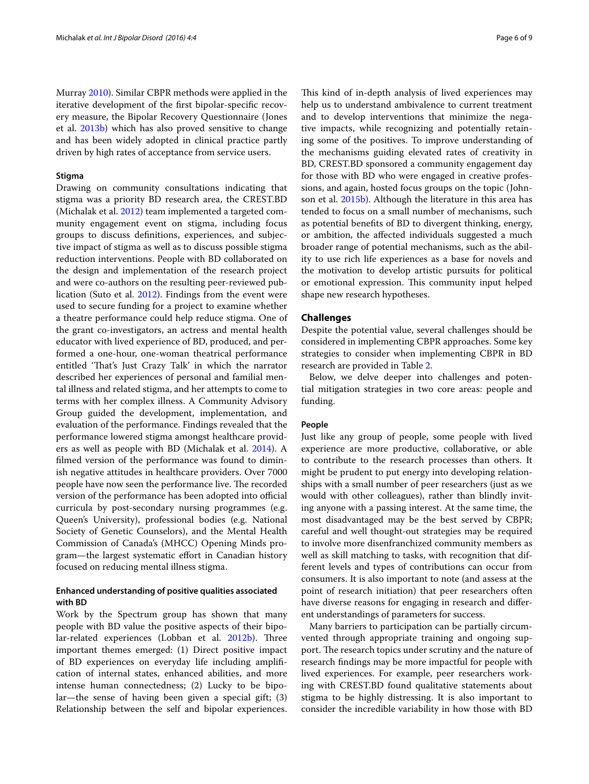Murray [2010](#page-8-37)). Similar CBPR methods were applied in the iterative development of the first bipolar-specific recovery measure, the Bipolar Recovery Questionnaire (Jones et al. [2013b\)](#page-8-16) which has also proved sensitive to change and has been widely adopted in clinical practice partly driven by high rates of acceptance from service users.

#### **Stigma**

Drawing on community consultations indicating that stigma was a priority BD research area, the CREST.BD (Michalak et al. [2012\)](#page-8-17) team implemented a targeted community engagement event on stigma, including focus groups to discuss definitions, experiences, and subjective impact of stigma as well as to discuss possible stigma reduction interventions. People with BD collaborated on the design and implementation of the research project and were co-authors on the resulting peer-reviewed publication (Suto et al. [2012\)](#page-8-38). Findings from the event were used to secure funding for a project to examine whether a theatre performance could help reduce stigma. One of the grant co-investigators, an actress and mental health educator with lived experience of BD, produced, and performed a one-hour, one-woman theatrical performance entitled 'That's Just Crazy Talk' in which the narrator described her experiences of personal and familial mental illness and related stigma, and her attempts to come to terms with her complex illness. A Community Advisory Group guided the development, implementation, and evaluation of the performance. Findings revealed that the performance lowered stigma amongst healthcare providers as well as people with BD (Michalak et al. [2014\)](#page-8-39). A filmed version of the performance was found to diminish negative attitudes in healthcare providers. Over 7000 people have now seen the performance live. The recorded version of the performance has been adopted into official curricula by post-secondary nursing programmes (e.g. Queen's University), professional bodies (e.g. National Society of Genetic Counselors), and the Mental Health Commission of Canada's (MHCC) Opening Minds program—the largest systematic effort in Canadian history focused on reducing mental illness stigma.

# **Enhanced understanding of positive qualities associated with BD**

Work by the Spectrum group has shown that many people with BD value the positive aspects of their bipolar-related experiences (Lobban et al. [2012b](#page-8-40)). Three important themes emerged: (1) Direct positive impact of BD experiences on everyday life including amplification of internal states, enhanced abilities, and more intense human connectedness; (2) Lucky to be bipolar—the sense of having been given a special gift; (3) Relationship between the self and bipolar experiences.

This kind of in-depth analysis of lived experiences may help us to understand ambivalence to current treatment and to develop interventions that minimize the negative impacts, while recognizing and potentially retaining some of the positives. To improve understanding of the mechanisms guiding elevated rates of creativity in BD, CREST.BD sponsored a community engagement day for those with BD who were engaged in creative professions, and again, hosted focus groups on the topic (Johnson et al. [2015b\)](#page-8-41). Although the literature in this area has tended to focus on a small number of mechanisms, such as potential benefits of BD to divergent thinking, energy, or ambition, the affected individuals suggested a much broader range of potential mechanisms, such as the ability to use rich life experiences as a base for novels and the motivation to develop artistic pursuits for political or emotional expression. This community input helped shape new research hypotheses.

#### **Challenges**

Despite the potential value, several challenges should be considered in implementing CBPR approaches. Some key strategies to consider when implementing CBPR in BD research are provided in Table [2](#page-6-0).

Below, we delve deeper into challenges and potential mitigation strategies in two core areas: people and funding.

#### **People**

Just like any group of people, some people with lived experience are more productive, collaborative, or able to contribute to the research processes than others. It might be prudent to put energy into developing relationships with a small number of peer researchers (just as we would with other colleagues), rather than blindly inviting anyone with a passing interest. At the same time, the most disadvantaged may be the best served by CBPR; careful and well thought-out strategies may be required to involve more disenfranchized community members as well as skill matching to tasks, with recognition that different levels and types of contributions can occur from consumers. It is also important to note (and assess at the point of research initiation) that peer researchers often have diverse reasons for engaging in research and different understandings of parameters for success.

Many barriers to participation can be partially circumvented through appropriate training and ongoing support. The research topics under scrutiny and the nature of research findings may be more impactful for people with lived experiences. For example, peer researchers working with CREST.BD found qualitative statements about stigma to be highly distressing. It is also important to consider the incredible variability in how those with BD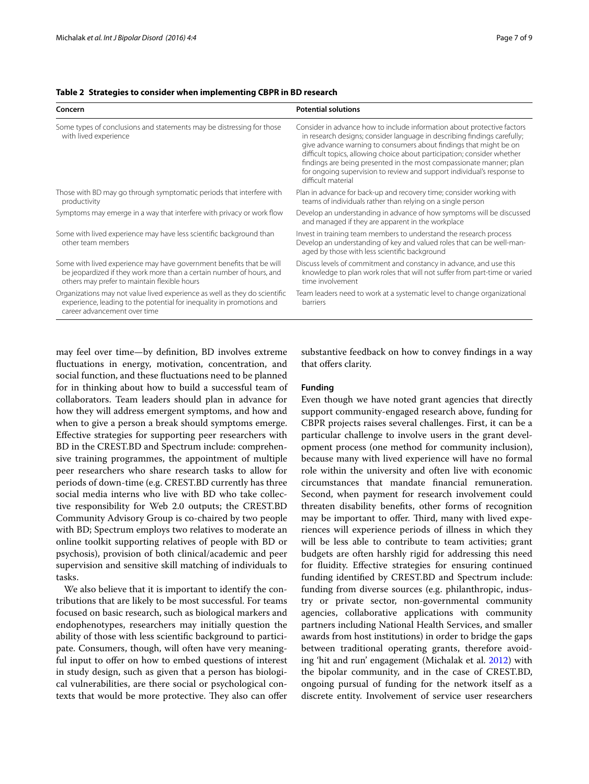<span id="page-6-0"></span>**Table 2 Strategies to consider when implementing CBPR in BD research**

| Concern                                                                                                                                                                                      | <b>Potential solutions</b>                                                                                                                                                                                                                                                                                                                                                                                                                                                 |
|----------------------------------------------------------------------------------------------------------------------------------------------------------------------------------------------|----------------------------------------------------------------------------------------------------------------------------------------------------------------------------------------------------------------------------------------------------------------------------------------------------------------------------------------------------------------------------------------------------------------------------------------------------------------------------|
| Some types of conclusions and statements may be distressing for those<br>with lived experience                                                                                               | Consider in advance how to include information about protective factors<br>in research designs; consider language in describing findings carefully;<br>give advance warning to consumers about findings that might be on<br>difficult topics, allowing choice about participation; consider whether<br>findings are being presented in the most compassionate manner; plan<br>for ongoing supervision to review and support individual's response to<br>difficult material |
| Those with BD may go through symptomatic periods that interfere with<br>productivity                                                                                                         | Plan in advance for back-up and recovery time; consider working with<br>teams of individuals rather than relying on a single person                                                                                                                                                                                                                                                                                                                                        |
| Symptoms may emerge in a way that interfere with privacy or work flow                                                                                                                        | Develop an understanding in advance of how symptoms will be discussed<br>and managed if they are apparent in the workplace                                                                                                                                                                                                                                                                                                                                                 |
| Some with lived experience may have less scientific background than<br>other team members                                                                                                    | Invest in training team members to understand the research process<br>Develop an understanding of key and valued roles that can be well-man-<br>aged by those with less scientific background                                                                                                                                                                                                                                                                              |
| Some with lived experience may have government benefits that be will<br>be jeopardized if they work more than a certain number of hours, and<br>others may prefer to maintain flexible hours | Discuss levels of commitment and constancy in advance, and use this<br>knowledge to plan work roles that will not suffer from part-time or varied<br>time involvement                                                                                                                                                                                                                                                                                                      |
| Organizations may not value lived experience as well as they do scientific<br>experience, leading to the potential for inequality in promotions and<br>career advancement over time          | Team leaders need to work at a systematic level to change organizational<br>barriers                                                                                                                                                                                                                                                                                                                                                                                       |

may feel over time—by definition, BD involves extreme fluctuations in energy, motivation, concentration, and social function, and these fluctuations need to be planned for in thinking about how to build a successful team of collaborators. Team leaders should plan in advance for how they will address emergent symptoms, and how and when to give a person a break should symptoms emerge. Effective strategies for supporting peer researchers with BD in the CREST.BD and Spectrum include: comprehensive training programmes, the appointment of multiple peer researchers who share research tasks to allow for periods of down-time (e.g. CREST.BD currently has three social media interns who live with BD who take collective responsibility for Web 2.0 outputs; the CREST.BD Community Advisory Group is co-chaired by two people with BD; Spectrum employs two relatives to moderate an online toolkit supporting relatives of people with BD or psychosis), provision of both clinical/academic and peer supervision and sensitive skill matching of individuals to tasks.

We also believe that it is important to identify the contributions that are likely to be most successful. For teams focused on basic research, such as biological markers and endophenotypes, researchers may initially question the ability of those with less scientific background to participate. Consumers, though, will often have very meaningful input to offer on how to embed questions of interest in study design, such as given that a person has biological vulnerabilities, are there social or psychological contexts that would be more protective. They also can offer substantive feedback on how to convey findings in a way that offers clarity.

# **Funding**

Even though we have noted grant agencies that directly support community-engaged research above, funding for CBPR projects raises several challenges. First, it can be a particular challenge to involve users in the grant development process (one method for community inclusion), because many with lived experience will have no formal role within the university and often live with economic circumstances that mandate financial remuneration. Second, when payment for research involvement could threaten disability benefits, other forms of recognition may be important to offer. Third, many with lived experiences will experience periods of illness in which they will be less able to contribute to team activities; grant budgets are often harshly rigid for addressing this need for fluidity. Effective strategies for ensuring continued funding identified by CREST.BD and Spectrum include: funding from diverse sources (e.g. philanthropic, industry or private sector, non-governmental community agencies, collaborative applications with community partners including National Health Services, and smaller awards from host institutions) in order to bridge the gaps between traditional operating grants, therefore avoiding 'hit and run' engagement (Michalak et al. [2012](#page-8-17)) with the bipolar community, and in the case of CREST.BD, ongoing pursual of funding for the network itself as a discrete entity. Involvement of service user researchers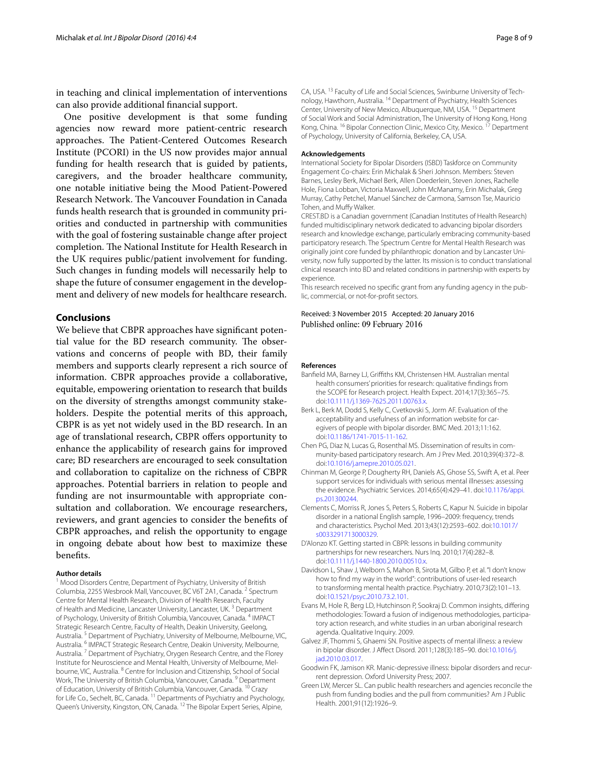in teaching and clinical implementation of interventions can also provide additional financial support.

One positive development is that some funding agencies now reward more patient-centric research approaches. The Patient-Centered Outcomes Research Institute (PCORI) in the US now provides major annual funding for health research that is guided by patients, caregivers, and the broader healthcare community, one notable initiative being the Mood Patient-Powered Research Network. The Vancouver Foundation in Canada funds health research that is grounded in community priorities and conducted in partnership with communities with the goal of fostering sustainable change after project completion. The National Institute for Health Research in the UK requires public/patient involvement for funding. Such changes in funding models will necessarily help to shape the future of consumer engagement in the development and delivery of new models for healthcare research.

## **Conclusions**

We believe that CBPR approaches have significant potential value for the BD research community. The observations and concerns of people with BD, their family members and supports clearly represent a rich source of information. CBPR approaches provide a collaborative, equitable, empowering orientation to research that builds on the diversity of strengths amongst community stakeholders. Despite the potential merits of this approach, CBPR is as yet not widely used in the BD research. In an age of translational research, CBPR offers opportunity to enhance the applicability of research gains for improved care; BD researchers are encouraged to seek consultation and collaboration to capitalize on the richness of CBPR approaches. Potential barriers in relation to people and funding are not insurmountable with appropriate consultation and collaboration. We encourage researchers, reviewers, and grant agencies to consider the benefits of CBPR approaches, and relish the opportunity to engage in ongoing debate about how best to maximize these benefits.

#### **Author details**

<sup>1</sup> Mood Disorders Centre, Department of Psychiatry, University of British Columbia, 2255 Wesbrook Mall, Vancouver, BC V6T 2A1, Canada. <sup>2</sup> Spectrum Centre for Mental Health Research, Division of Health Research, Faculty of Health and Medicine, Lancaster University, Lancaster, UK.<sup>3</sup> Department of Psychology, University of British Columbia, Vancouver, Canada. <sup>4</sup> IMPACT Strategic Research Centre, Faculty of Health, Deakin University, Geelong, Australia. 5 Department of Psychiatry, University of Melbourne, Melbourne, VIC, Australia. <sup>6</sup> IMPACT Strategic Research Centre, Deakin University, Melbourne, Australia. <sup>7</sup> Department of Psychiatry, Orygen Research Centre, and the Florey Institute for Neuroscience and Mental Health, University of Melbourne, Melbourne, VIC, Australia. <sup>8</sup> Centre for Inclusion and Citizenship, School of Social Work, The University of British Columbia, Vancouver, Canada.<sup>9</sup> Department of Education, University of British Columbia, Vancouver, Canada. <sup>10</sup> Crazy for Life Co., Sechelt, BC, Canada. <sup>11</sup> Departments of Psychiatry and Psychology, Queen's University, Kingston, ON, Canada. <sup>12</sup> The Bipolar Expert Series, Alpine,

CA, USA. 13 Faculty of Life and Social Sciences, Swinburne University of Technology, Hawthorn, Australia. 14 Department of Psychiatry, Health Sciences Center, University of New Mexico, Albuquerque, NM, USA. 15 Department of Social Work and Social Administration, The University of Hong Kong, Hong Kong, China. <sup>16</sup> Bipolar Connection Clinic, Mexico City, Mexico. 17 Department of Psychology, University of California, Berkeley, CA, USA.

#### **Acknowledgements**

International Society for Bipolar Disorders (ISBD) Taskforce on Community Engagement Co-chairs: Erin Michalak & Sheri Johnson. Members: Steven Barnes, Lesley Berk, Michael Berk, Allen Doederlein, Steven Jones, Rachelle Hole, Fiona Lobban, Victoria Maxwell, John McManamy, Erin Michalak, Greg Murray, Cathy Petchel, Manuel Sánchez de Carmona, Samson Tse, Mauricio Tohen, and Muffy Walker.

CREST.BD is a Canadian government (Canadian Institutes of Health Research) funded multidisciplinary network dedicated to advancing bipolar disorders research and knowledge exchange, particularly embracing community-based participatory research. The Spectrum Centre for Mental Health Research was originally joint core funded by philanthropic donation and by Lancaster University, now fully supported by the latter. Its mission is to conduct translational clinical research into BD and related conditions in partnership with experts by experience.

This research received no specific grant from any funding agency in the public, commercial, or not-for-profit sectors.

#### Received: 3 November 2015 Accepted: 20 January 2016 Published online: 09 February 2016

#### **References**

- <span id="page-7-5"></span>Banfield MA, Barney LJ, Griffiths KM, Christensen HM. Australian mental health consumers' priorities for research: qualitative findings from the SCOPE for Research project. Health Expect. 2014;17(3):365–75. doi:[10.1111/j.1369-7625.2011.00763.x.](http://dx.doi.org/10.1111/j.1369-7625.2011.00763.x)
- <span id="page-7-8"></span>Berk L, Berk M, Dodd S, Kelly C, Cvetkovski S, Jorm AF. Evaluation of the acceptability and usefulness of an information website for caregivers of people with bipolar disorder. BMC Med. 2013;11:162. doi:[10.1186/1741-7015-11-162.](http://dx.doi.org/10.1186/1741-7015-11-162)
- <span id="page-7-0"></span>Chen PG, Diaz N, Lucas G, Rosenthal MS. Dissemination of results in community-based participatory research. Am J Prev Med. 2010;39(4):372–8. doi:[10.1016/j.amepre.2010.05.021](http://dx.doi.org/10.1016/j.amepre.2010.05.021).
- <span id="page-7-9"></span>Chinman M, George P, Dougherty RH, Daniels AS, Ghose SS, Swift A, et al. Peer support services for individuals with serious mental illnesses: assessing the evidence. Psychiatric Services. 2014;65(4):429–41. doi[:10.1176/appi.](http://dx.doi.org/10.1176/appi.ps.201300244) [ps.201300244.](http://dx.doi.org/10.1176/appi.ps.201300244)
- <span id="page-7-6"></span>Clements C, Morriss R, Jones S, Peters S, Roberts C, Kapur N. Suicide in bipolar disorder in a national English sample, 1996–2009: frequency, trends and characteristics. Psychol Med. 2013;43(12):2593–602. doi:[10.1017/](http://dx.doi.org/10.1017/s0033291713000329) [s0033291713000329](http://dx.doi.org/10.1017/s0033291713000329).
- <span id="page-7-1"></span>D'Alonzo KT. Getting started in CBPR: lessons in building community partnerships for new researchers. Nurs Inq. 2010;17(4):282–8. doi:[10.1111/j.1440-1800.2010.00510.x.](http://dx.doi.org/10.1111/j.1440-1800.2010.00510.x)

<span id="page-7-2"></span>Davidson L, Shaw J, Welborn S, Mahon B, Sirota M, Gilbo P, et al. "I don't know how to find my way in the world": contributions of user-led research to transforming mental health practice. Psychiatry. 2010;73(2):101–13. doi:[10.1521/psyc.2010.73.2.101.](http://dx.doi.org/10.1521/psyc.2010.73.2.101)

<span id="page-7-3"></span>Evans M, Hole R, Berg LD, Hutchinson P, Sookraj D. Common insights, differing methodologies: Toward a fusion of indigenous methodologies, participatory action research, and white studies in an urban aboriginal research agenda. Qualitative Inquiry. 2009.

<span id="page-7-10"></span>Galvez JF, Thommi S, Ghaemi SN. Positive aspects of mental illness: a review in bipolar disorder. J Affect Disord. 2011;128(3):185–90. doi[:10.1016/j.](http://dx.doi.org/10.1016/j.jad.2010.03.017) [jad.2010.03.017.](http://dx.doi.org/10.1016/j.jad.2010.03.017)

- <span id="page-7-7"></span>Goodwin FK, Jamison KR. Manic-depressive illness: bipolar disorders and recurrent depression. Oxford University Press; 2007.
- <span id="page-7-4"></span>Green LW, Mercer SL. Can public health researchers and agencies reconcile the push from funding bodies and the pull from communities? Am J Public Health. 2001;91(12):1926–9.